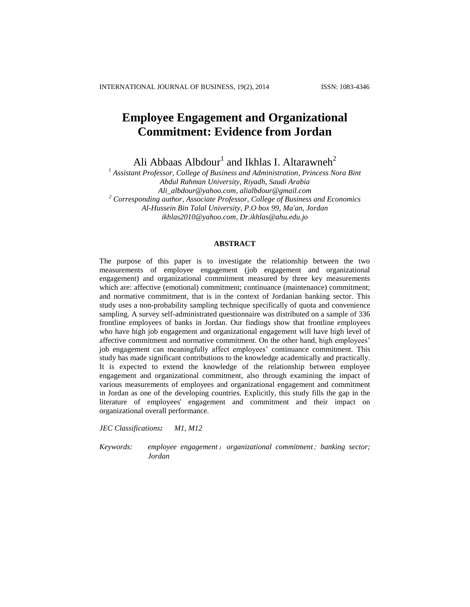# **Employee Engagement and Organizational Commitment: Evidence from Jordan**

Ali Abbaas Albdour<sup>1</sup> and Ikhlas I. Altarawneh<sup>2</sup>

*<sup>1</sup> Assistant Professor, College of Business and Administration, Princess Nora Bint Abdul Rahman University, Riyadh, Saudi Arabia [Ali\\_albdour@yahoo.com,](mailto:Ali_albdour@yahoo.com) alialbdour@gmail.com <sup>2</sup> Corresponding author, Associate Professor, College of Business and Economics Al-Hussein Bin Talal University, P.O box 99, Ma'an, Jordan [ikhlas2010@yahoo.com,](mailto:ikhlas2010@yahoo.com) [Dr.ikhlas@ahu.edu.jo](mailto:Dr.ikhlas@ahu.edu.jo)*

## **ABSTRACT**

The purpose of this paper is to investigate the relationship between the two measurements of employee engagement (job engagement and organizational engagement) and organizational commitment measured by three key measurements which are: affective (emotional) commitment; continuance (maintenance) commitment; and normative commitment, that is in the context of Jordanian banking sector. This study uses a non-probability sampling technique specifically of quota and convenience sampling. A survey self-administrated questionnaire was distributed on a sample of 336 frontline employees of banks in Jordan. Our findings show that frontline employees who have high job engagement and organizational engagement will have high level of affective commitment and normative commitment. On the other hand, high employees' job engagement can meaningfully affect employees' continuance commitment. This study has made significant contributions to the knowledge academically and practically. It is expected to extend the knowledge of the relationship between employee engagement and organizational commitment, also through examining the impact of various measurements of employees and organizational engagement and commitment in Jordan as one of the developing countries. Explicitly, this study fills the gap in the literature of employees' engagement and commitment and their impact on organizational overall performance.

*JEC Classifications: M1, M12*

*Keywords: employee engagement*;*organizational commitment*; *banking sector; Jordan*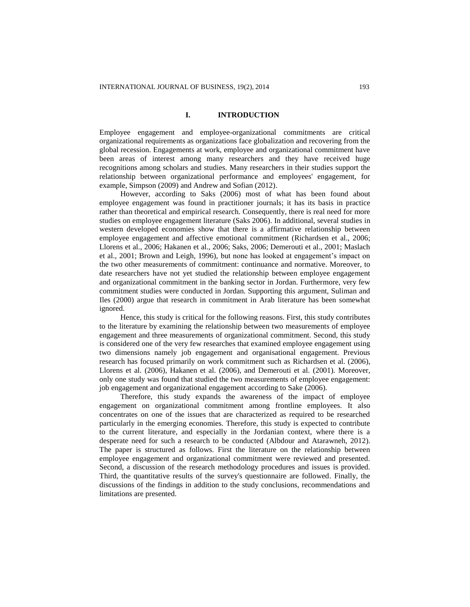## **I. INTRODUCTION**

Employee engagement and employee-organizational commitments are critical organizational requirements as organizations face globalization and recovering from the global recession. Engagements at work, employee and organizational commitment have been areas of interest among many researchers and they have received huge recognitions among scholars and studies. Many researchers in their studies support the relationship between organizational performance and employees' engagement, for example, Simpson (2009) and Andrew and Sofian (2012).

However, according to Saks (2006) most of what has been found about employee engagement was found in practitioner journals; it has its basis in practice rather than theoretical and empirical research. Consequently, there is real need for more studies on employee engagement literature (Saks 2006). In additional, several studies in western developed economies show that there is a affirmative relationship between employee engagement and affective emotional commitment (Richardsen et al., 2006; Llorens et al., 2006; Hakanen et al., 2006; Saks, 2006; Demerouti et al., 2001; Maslach et al., 2001; Brown and Leigh, 1996), but none has looked at engagement's impact on the two other measurements of commitment: continuance and normative. Moreover, to date researchers have not yet studied the relationship between employee engagement and organizational commitment in the banking sector in Jordan. Furthermore, very few commitment studies were conducted in Jordan. Supporting this argument, Suliman and Iles (2000) argue that research in commitment in Arab literature has been somewhat ignored.

Hence, this study is critical for the following reasons. First, this study contributes to the literature by examining the relationship between two measurements of employee engagement and three measurements of organizational commitment. Second, this study is considered one of the very few researches that examined employee engagement using two dimensions namely job engagement and organisational engagement. Previous research has focused primarily on work commitment such as Richardsen et al. (2006), Llorens et al. (2006), Hakanen et al. (2006), and Demerouti et al. (2001). Moreover, only one study was found that studied the two measurements of employee engagement: job engagement and organizational engagement according to Sake (2006).

Therefore, this study expands the awareness of the impact of employee engagement on organizational commitment among frontline employees. It also concentrates on one of the issues that are characterized as required to be researched particularly in the emerging economies. Therefore, this study is expected to contribute to the current literature, and especially in the Jordanian context, where there is a desperate need for such a research to be conducted (Albdour and Atarawneh, 2012). The paper is structured as follows. First the literature on the relationship between employee engagement and organizational commitment were reviewed and presented. Second, a discussion of the research methodology procedures and issues is provided. Third, the quantitative results of the survey's questionnaire are followed. Finally, the discussions of the findings in addition to the study conclusions, recommendations and limitations are presented.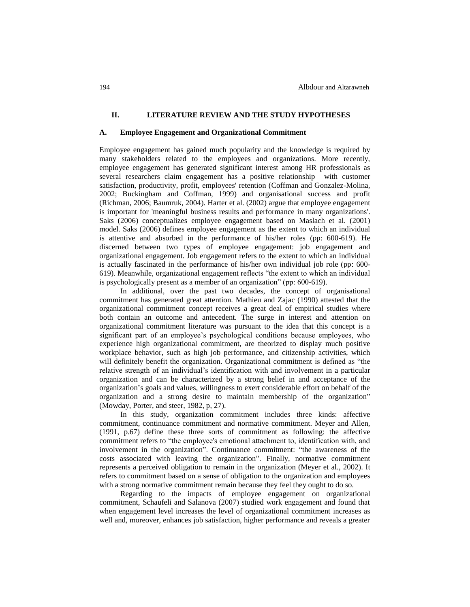## **II. LITERATURE REVIEW AND THE STUDY HYPOTHESES**

### **A. Employee Engagement and Organizational Commitment**

Employee engagement has gained much popularity and the knowledge is required by many stakeholders related to the employees and organizations. More recently, employee engagement has generated significant interest among HR professionals as several researchers claim engagement has a positive relationship with customer satisfaction, productivity, profit, employees' retention (Coffman and Gonzalez-Molina, 2002; Buckingham and Coffman, 1999) and organisational success and profit (Richman, 2006; Baumruk, 2004). Harter et al. (2002) argue that employee engagement is important for 'meaningful business results and performance in many organizations'. Saks (2006) conceptualizes employee engagement based on Maslach et al. (2001) model. Saks (2006) defines employee engagement as the extent to which an individual is attentive and absorbed in the performance of his/her roles (pp: 600-619). He discerned between two types of employee engagement: job engagement and organizational engagement. Job engagement refers to the extent to which an individual is actually fascinated in the performance of his/her own individual job role (pp: 600- 619). Meanwhile, organizational engagement reflects "the extent to which an individual is psychologically present as a member of an organization" (pp: 600-619).

In additional, over the past two decades, the concept of organisational commitment has generated great attention. Mathieu and Zajac (1990) attested that the organizational commitment concept receives a great deal of empirical studies where both contain an outcome and antecedent. The surge in interest and attention on organizational commitment literature was pursuant to the idea that this concept is a significant part of an employee's psychological conditions because employees, who experience high organizational commitment, are theorized to display much positive workplace behavior, such as high job performance, and citizenship activities, which will definitely benefit the organization. Organizational commitment is defined as "the relative strength of an individual's identification with and involvement in a particular organization and can be characterized by a strong belief in and acceptance of the organization's goals and values, willingness to exert considerable effort on behalf of the organization and a strong desire to maintain membership of the organization" (Mowday, Porter, and steer, 1982, p, 27).

In this study, organization commitment includes three kinds: affective commitment, continuance commitment and normative commitment. Meyer and Allen, (1991, p.67) define these three sorts of commitment as following: the affective commitment refers to "the employee's emotional attachment to, identification with, and involvement in the organization". Continuance commitment: "the awareness of the costs associated with leaving the organization". Finally, normative commitment represents a perceived obligation to remain in the organization (Meyer et al., 2002). It refers to commitment based on a sense of obligation to the organization and employees with a strong normative commitment remain because they feel they ought to do so.

Regarding to the impacts of employee engagement on organizational commitment, Schaufeli and Salanova (2007) studied work engagement and found that when engagement level increases the level of organizational commitment increases as well and, moreover, enhances job satisfaction, higher performance and reveals a greater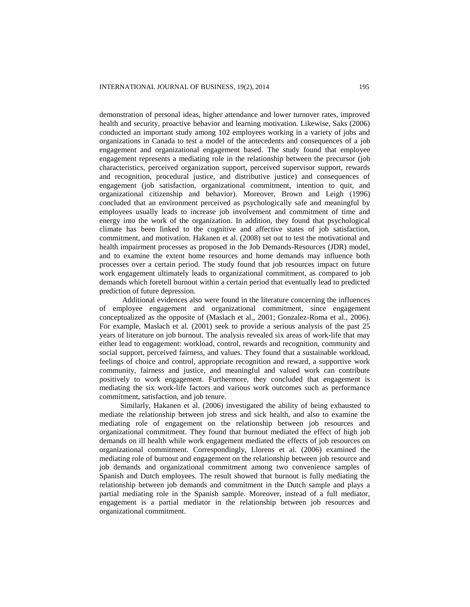demonstration of personal ideas, higher attendance and lower turnover rates, improved health and security, proactive behavior and learning motivation. Likewise, Saks (2006) conducted an important study among 102 employees working in a variety of jobs and organizations in Canada to test a model of the antecedents and consequences of a job engagement and organizational engagement based. The study found that employee engagement represents a mediating role in the relationship between the precursor (job characteristics, perceived organization support, perceived supervisor support, rewards and recognition, procedural justice, and distributive justice) and consequences of engagement (job satisfaction, organizational commitment, intention to quit, and organizational citizenship and behavior). Moreover, Brown and Leigh (1996) concluded that an environment perceived as psychologically safe and meaningful by employees usually leads to increase job involvement and commitment of time and energy into the work of the organization. In addition, they found that psychological climate has been linked to the cognitive and affective states of job satisfaction, commitment, and motivation. Hakanen et al. (2008) set out to test the motivational and health impairment processes as proposed in the Job Demands-Resources (JDR) model, and to examine the extent home resources and home demands may influence both processes over a certain period. The study found that job resources impact on future work engagement ultimately leads to organizational commitment, as compared to job demands which foretell burnout within a certain period that eventually lead to predicted prediction of future depression.

Additional evidences also were found in the literature concerning the influences of employee engagement and organizational commitment, since engagement conceptualized as the opposite of (Maslach et al., 2001; Gonzalez-Roma et al., 2006). For example, Maslach et al. (2001) seek to provide a serious analysis of the past 25 years of literature on job burnout. The analysis revealed six areas of work-life that may either lead to engagement: workload, control, rewards and recognition, community and social support, perceived fairness, and values. They found that a sustainable workload, feelings of choice and control, appropriate recognition and reward, a supportive work community, fairness and justice, and meaningful and valued work can contribute positively to work engagement. Furthermore, they concluded that engagement is mediating the six work-life factors and various work outcomes such as performance commitment, satisfaction, and job tenure.

Similarly, Hakanen et al. (2006) investigated the ability of being exhausted to mediate the relationship between job stress and sick health, and also to examine the mediating role of engagement on the relationship between job resources and organizational commitment. They found that burnout mediated the effect of high job demands on ill health while work engagement mediated the effects of job resources on organizational commitment. Correspondingly, Llorens et al. (2006) examined the mediating role of burnout and engagement on the relationship between job resource and job demands and organizational commitment among two convenience samples of Spanish and Dutch employees. The result showed that burnout is fully mediating the relationship between job demands and commitment in the Dutch sample and plays a partial mediating role in the Spanish sample. Moreover, instead of a full mediator, engagement is a partial mediator in the relationship between job resources and organizational commitment.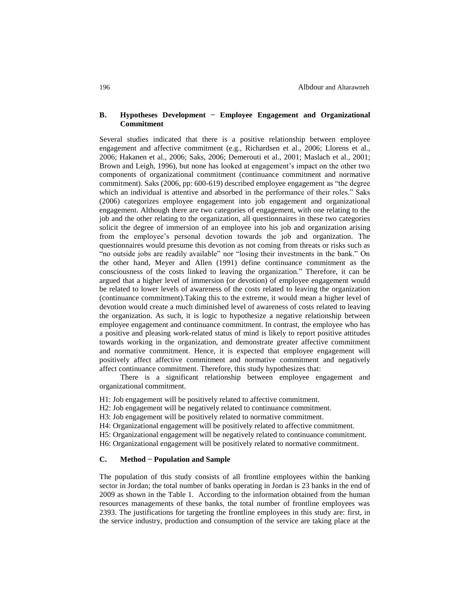## **B. Hypotheses Development − Employee Engagement and Organizational Commitment**

Several studies indicated that there is a positive relationship between employee engagement and affective commitment (e.g., Richardsen et al., 2006; Llorens et al., 2006; Hakanen et al., 2006; Saks, 2006; Demerouti et al., 2001; Maslach et al., 2001; Brown and Leigh, 1996), but none has looked at engagement's impact on the other two components of organizational commitment (continuance commitment and normative commitment). Saks (2006, pp: 600-619) described employee engagement as "the degree which an individual is attentive and absorbed in the performance of their roles." Saks (2006) categorizes employee engagement into job engagement and organizational engagement. Although there are two categories of engagement, with one relating to the job and the other relating to the organization, all questionnaires in these two categories solicit the degree of immersion of an employee into his job and organization arising from the employee's personal devotion towards the job and organization. The questionnaires would presume this devotion as not coming from threats or risks such as "no outside jobs are readily available" nor "losing their investments in the bank." On the other hand, Meyer and Allen (1991) define continuance commitment as the consciousness of the costs linked to leaving the organization." Therefore, it can be argued that a higher level of immersion (or devotion) of employee engagement would be related to lower levels of awareness of the costs related to leaving the organization (continuance commitment).Taking this to the extreme, it would mean a higher level of devotion would create a much diminished level of awareness of costs related to leaving the organization. As such, it is logic to hypothesize a negative relationship between employee engagement and continuance commitment. In contrast, the employee who has a positive and pleasing work-related status of mind is likely to report positive attitudes towards working in the organization, and demonstrate greater affective commitment and normative commitment. Hence, it is expected that employee engagement will positively affect affective commitment and normative commitment and negatively affect continuance commitment. Therefore, this study hypothesizes that:

There is a significant relationship between employee engagement and organizational commitment.

H1: Job engagement will be positively related to affective commitment.

H2: Job engagement will be negatively related to continuance commitment.

H3: Job engagement will be positively related to normative commitment.

H4: Organizational engagement will be positively related to affective commitment.

H5: Organizational engagement will be negatively related to continuance commitment.

H6: Organizational engagement will be positively related to normative commitment.

## **C. Method − Population and Sample**

The population of this study consists of all frontline employees within the banking sector in Jordan; the total number of banks operating in Jordan is 23 banks in the end of 2009 as shown in the Table 1. According to the information obtained from the human resources managements of these banks, the total number of frontline employees was 2393. The justifications for targeting the frontline employees in this study are: first, in the service industry, production and consumption of the service are taking place at the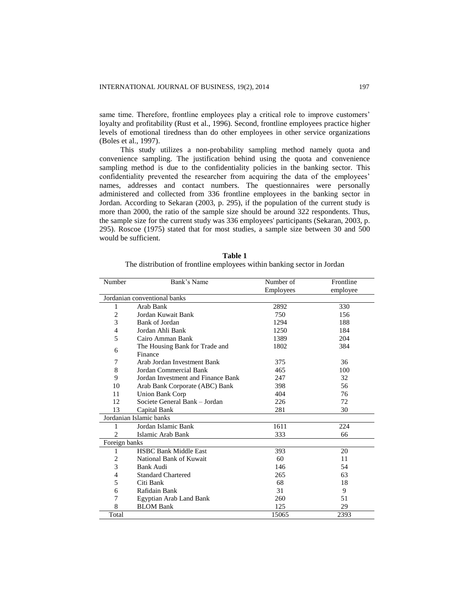same time. Therefore, frontline employees play a critical role to improve customers' loyalty and profitability (Rust et al., 1996). Second, frontline employees practice higher levels of emotional tiredness than do other employees in other service organizations (Boles et al., 1997).

This study utilizes a non-probability sampling method namely quota and convenience sampling. The justification behind using the quota and convenience sampling method is due to the confidentiality policies in the banking sector. This confidentiality prevented the researcher from acquiring the data of the employees' names, addresses and contact numbers. The questionnaires were personally administered and collected from 336 frontline employees in the banking sector in Jordan. According to Sekaran (2003, p. 295), if the population of the current study is more than 2000, the ratio of the sample size should be around 322 respondents. Thus, the sample size for the current study was 336 employees' participants (Sekaran, 2003, p. 295). Roscoe (1975) stated that for most studies, a sample size between 30 and 500 would be sufficient.

| Number                  | Bank's Name                        | Number of | Frontline |  |  |
|-------------------------|------------------------------------|-----------|-----------|--|--|
|                         |                                    | Employees | employee  |  |  |
|                         | Jordanian conventional banks       |           |           |  |  |
| 1                       | Arab Bank                          | 2892      | 330       |  |  |
| $\overline{2}$          | Jordan Kuwait Bank                 | 750       | 156       |  |  |
| 3                       | Bank of Jordan                     | 1294      | 188       |  |  |
| $\overline{4}$          | Jordan Ahli Bank                   | 1250      | 184       |  |  |
| 5                       | Cairo Amman Bank                   | 1389      | 204       |  |  |
| 6                       | The Housing Bank for Trade and     | 1802      | 384       |  |  |
|                         | Finance                            |           |           |  |  |
| 7                       | Arab Jordan Investment Bank        | 375       | 36        |  |  |
| 8                       | Jordan Commercial Bank             | 465       | 100       |  |  |
| 9                       | Jordan Investment and Finance Bank | 247       | 32        |  |  |
| 10                      | Arab Bank Corporate (ABC) Bank     | 398       | 56        |  |  |
| 11                      | <b>Union Bank Corp</b>             | 404       | 76        |  |  |
| 12                      | Societe General Bank - Jordan      | 226       | 72        |  |  |
| 13                      | Capital Bank                       | 281       | 30        |  |  |
| Jordanian Islamic banks |                                    |           |           |  |  |
| 1                       | Jordan Islamic Bank                | 1611      | 224       |  |  |
| $\overline{c}$          | Islamic Arab Bank                  | 333       | 66        |  |  |
| Foreign banks           |                                    |           |           |  |  |
| 1                       | <b>HSBC Bank Middle East</b>       | 393       | 20        |  |  |
| $\overline{2}$          | National Bank of Kuwait            | 60        | 11        |  |  |
| 3                       | Bank Audi                          | 146       | 54        |  |  |
| 4                       | <b>Standard Chartered</b>          | 265       | 63        |  |  |
| 5                       | Citi Bank                          | 68        | 18        |  |  |
| 6                       | Rafidain Bank                      | 31        | 9         |  |  |
| 7                       | Egyptian Arab Land Bank            | 260       | 51        |  |  |
| 8                       | <b>BLOM Bank</b>                   | 125       | 29        |  |  |
| Total                   |                                    | 15065     | 2393      |  |  |

**Table 1** The distribution of frontline employees within banking sector in Jordan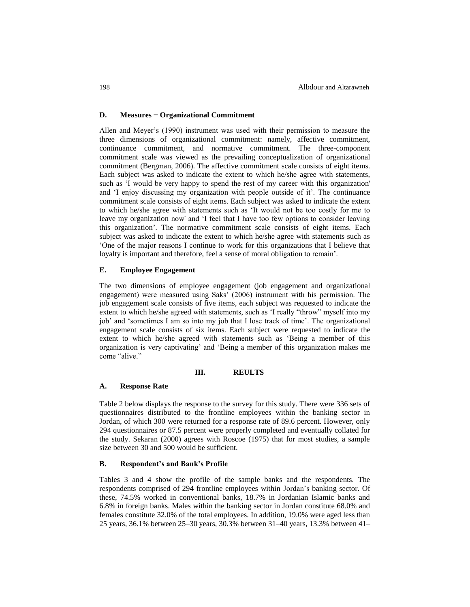## **D. Measures − Organizational Commitment**

Allen and Meyer's (1990) instrument was used with their permission to measure the three dimensions of organizational commitment: namely, affective commitment, continuance commitment, and normative commitment. The three-component commitment scale was viewed as the prevailing conceptualization of organizational commitment (Bergman, 2006). The affective commitment scale consists of eight items. Each subject was asked to indicate the extent to which he/she agree with statements, such as 'I would be very happy to spend the rest of my career with this organization' and 'I enjoy discussing my organization with people outside of it'. The continuance commitment scale consists of eight items. Each subject was asked to indicate the extent to which he/she agree with statements such as 'It would not be too costly for me to leave my organization now' and 'I feel that I have too few options to consider leaving this organization'. The normative commitment scale consists of eight items. Each subject was asked to indicate the extent to which he/she agree with statements such as 'One of the major reasons I continue to work for this organizations that I believe that loyalty is important and therefore, feel a sense of moral obligation to remain'.

## **E. Employee Engagement**

The two dimensions of employee engagement (job engagement and organizational engagement) were measured using Saks' (2006) instrument with his permission. The job engagement scale consists of five items, each subject was requested to indicate the extent to which he/she agreed with statements, such as 'I really "throw" myself into my job' and 'sometimes I am so into my job that I lose track of time'. The organizational engagement scale consists of six items. Each subject were requested to indicate the extent to which he/she agreed with statements such as 'Being a member of this organization is very captivating' and 'Being a member of this organization makes me come "alive."

## **III. REULTS**

## **A. Response Rate**

Table 2 below displays the response to the survey for this study. There were 336 sets of questionnaires distributed to the frontline employees within the banking sector in Jordan, of which 300 were returned for a response rate of 89.6 percent. However, only 294 questionnaires or 87.5 percent were properly completed and eventually collated for the study. Sekaran (2000) agrees with Roscoe (1975) that for most studies, a sample size between 30 and 500 would be sufficient.

#### **B. Respondent's and Bank's Profile**

Tables 3 and 4 show the profile of the sample banks and the respondents. The respondents comprised of 294 frontline employees within Jordan's banking sector. Of these, 74.5% worked in conventional banks, 18.7% in Jordanian Islamic banks and 6.8% in foreign banks. Males within the banking sector in Jordan constitute 68.0% and females constitute 32.0% of the total employees. In addition, 19.0% were aged less than 25 years, 36.1% between 25–30 years, 30.3% between 31–40 years, 13.3% between 41–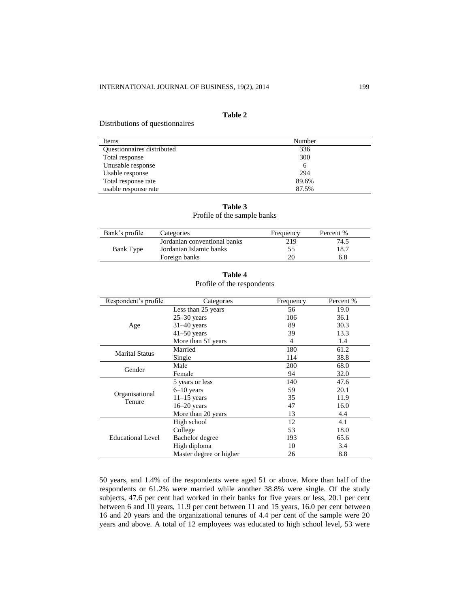## **Table 2**

Distributions of questionnaires

| Items                      | Number |
|----------------------------|--------|
| Questionnaires distributed | 336    |
| Total response             | 300    |
| Unusable response          | 6      |
| Usable response            | 294    |
| Total response rate        | 89.6%  |
| usable response rate       | 87.5%  |

|  | Table 3                     |  |
|--|-----------------------------|--|
|  | Profile of the sample banks |  |

| Bank's profile | Categories                   | Frequency | Percent % |
|----------------|------------------------------|-----------|-----------|
|                | Jordanian conventional banks | 219       | 74.5      |
| Bank Type      | Jordanian Islamic banks      |           | 18.7      |
|                | Foreign banks                |           | 6.8       |

| able | ı |
|------|---|
|------|---|

| Respondent's profile  | Categories              | Frequency | Percent % |
|-----------------------|-------------------------|-----------|-----------|
|                       | Less than 25 years      | 56        | 19.0      |
|                       | $25 - 30$ years         | 106       | 36.1      |
| Age                   | $31-40$ years           | 89        | 30.3      |
|                       | $41 - 50$ years         | 39        | 13.3      |
|                       | More than 51 years      | 4         | 1.4       |
|                       | Married                 | 180       | 61.2      |
| <b>Marital Status</b> | Single                  | 114       | 38.8      |
|                       | Male                    | 200       | 68.0      |
| Gender                | Female                  | 94        | 32.0      |
|                       | 5 years or less         | 140       | 47.6      |
| Organisational        | $6-10$ years            | 59        | 20.1      |
| Tenure                | $11-15$ years           | 35        | 11.9      |
|                       | $16-20$ years           | 47        | 16.0      |
|                       | More than 20 years      | 13        | 4.4       |
|                       | High school             | 12        | 4.1       |
|                       | College                 | 53        | 18.0      |
| Educational Level     | Bachelor degree         | 193       | 65.6      |
|                       | High diploma            | 10        | 3.4       |
|                       | Master degree or higher | 26        | 8.8       |

Profile of the respondents

50 years, and 1.4% of the respondents were aged 51 or above. More than half of the respondents or 61.2% were married while another 38.8% were single. Of the study subjects, 47.6 per cent had worked in their banks for five years or less, 20.1 per cent between 6 and 10 years, 11.9 per cent between 11 and 15 years, 16.0 per cent between 16 and 20 years and the organizational tenures of 4.4 per cent of the sample were 20 years and above. A total of 12 employees was educated to high school level, 53 were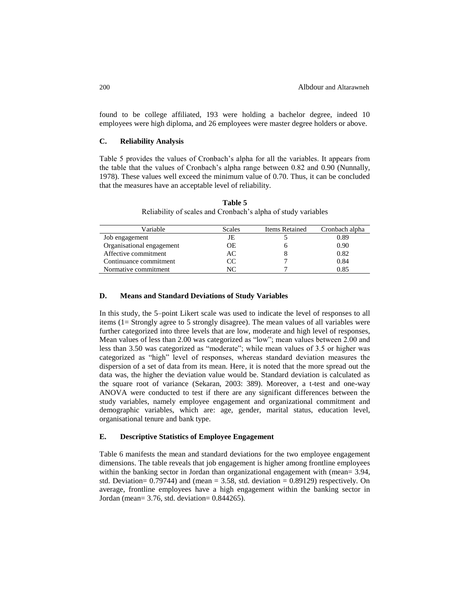found to be college affiliated, 193 were holding a bachelor degree, indeed 10 employees were high diploma, and 26 employees were master degree holders or above.

## **C. Reliability Analysis**

Table 5 provides the values of Cronbach's alpha for all the variables. It appears from the table that the values of Cronbach's alpha range between 0.82 and 0.90 (Nunnally, 1978). These values well exceed the minimum value of 0.70. Thus, it can be concluded that the measures have an acceptable level of reliability.

| Variable                  | Scales | Items Retained | Cronbach alpha |
|---------------------------|--------|----------------|----------------|
| Job engagement            | JE     |                | 0.89           |
| Organisational engagement | ОE     |                | 0.90           |
| Affective commitment      | AC     |                | 0.82           |
| Continuance commitment    | CC     |                | 0.84           |
| Normative commitment      | NС     |                | 0.85           |

**Table 5** Reliability of scales and Cronbach's alpha of study variables

## **D. Means and Standard Deviations of Study Variables**

In this study, the 5–point Likert scale was used to indicate the level of responses to all items (1= Strongly agree to 5 strongly disagree). The mean values of all variables were further categorized into three levels that are low, moderate and high level of responses, Mean values of less than 2.00 was categorized as "low"; mean values between 2.00 and less than 3.50 was categorized as "moderate"; while mean values of 3.5 or higher was categorized as "high" level of responses, whereas standard deviation measures the dispersion of a set of data from its mean. Here, it is noted that the more spread out the data was, the higher the deviation value would be. Standard deviation is calculated as the square root of variance (Sekaran, 2003: 389). Moreover, a t-test and one-way ANOVA were conducted to test if there are any significant differences between the study variables, namely employee engagement and organizational commitment and demographic variables, which are: age, gender, marital status, education level, organisational tenure and bank type.

## **E. Descriptive Statistics of Employee Engagement**

Table 6 manifests the mean and standard deviations for the two employee engagement dimensions. The table reveals that job engagement is higher among frontline employees within the banking sector in Jordan than organizational engagement with (mean= 3.94, std. Deviation=  $0.79744$ ) and (mean =  $3.58$ , std. deviation =  $0.89129$ ) respectively. On average, frontline employees have a high engagement within the banking sector in Jordan (mean= 3.76, std. deviation= 0.844265).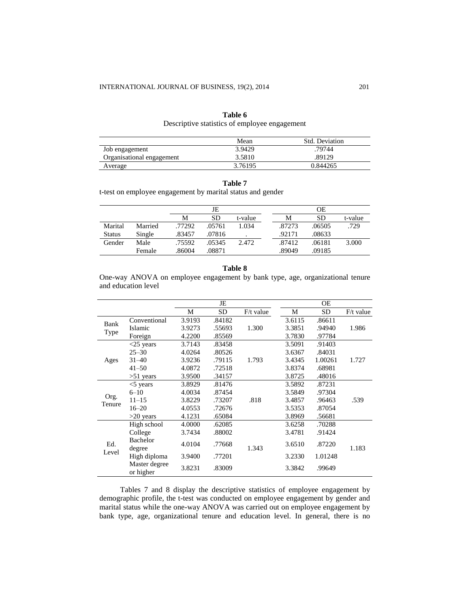| Descriptive statistics of employee engagement |         |                |  |  |  |
|-----------------------------------------------|---------|----------------|--|--|--|
|                                               | Mean    | Std. Deviation |  |  |  |
| Job engagement                                | 3.9429  | .79744         |  |  |  |
| Organisational engagement                     | 3.5810  | .89129         |  |  |  |
| Average                                       | 3.76195 | 0.844265       |  |  |  |

## **Table 6** Descriptive statistics of employee engagement

| וח<br>Ш<br>4<br>ч<br>٠ |  |
|------------------------|--|
|------------------------|--|

t-test on employee engagement by marital status and gender

|               |         |        | JE     |         |        | <b>OE</b> |         |
|---------------|---------|--------|--------|---------|--------|-----------|---------|
|               |         | M      | SD     | t-value | M      | <b>SD</b> | t-value |
| Marital       | Married | .77292 | .05761 | 1.034   | .87273 | .06505    | .729    |
| <b>Status</b> | Single  | .83457 | .07816 |         | .92171 | .08633    |         |
| Gender        | Male    | .75592 | .05345 | 2.472   | .87412 | .06181    | 3.000   |
|               | Female  | .86004 | .08871 |         | .89049 | .09185    |         |

## **Table 8**

One-way ANOVA on employee engagement by bank type, age, organizational tenure and education level

|                |                            |        | JE        |             |        | OE        |             |
|----------------|----------------------------|--------|-----------|-------------|--------|-----------|-------------|
|                |                            | M      | <b>SD</b> | $F/t$ value | М      | <b>SD</b> | $F/t$ value |
| Bank           | Conventional               | 3.9193 | .84182    |             | 3.6115 | .86611    |             |
|                | Islamic                    | 3.9273 | .55693    | 1.300       | 3.3851 | .94940    | 1.986       |
| Type           | Foreign                    | 4.2200 | .85569    |             | 3.7830 | .97784    |             |
|                | $<$ 25 years               | 3.7143 | .83458    |             | 3.5091 | .91403    |             |
|                | $25 - 30$                  | 4.0264 | .80526    |             | 3.6367 | .84031    |             |
| Ages           | $31 - 40$                  | 3.9236 | .79115    | 1.793       | 3.4345 | 1.00261   | 1.727       |
|                | $41 - 50$                  | 4.0872 | .72518    |             | 3.8374 | .68981    |             |
|                | $>51$ years                | 3.9500 | .34157    |             | 3.8725 | .48016    |             |
|                | $<$ 5 years                | 3.8929 | .81476    |             | 3.5892 | .87231    |             |
|                | $6 - 10$                   | 4.0034 | .87454    |             | 3.5849 | .97304    |             |
| Org.<br>Tenure | $11 - 15$                  | 3.8229 | .73207    | .818        | 3.4857 | .96463    | .539        |
|                | $16 - 20$                  | 4.0553 | .72676    |             | 3.5353 | .87054    |             |
|                | $>20$ years                | 4.1231 | .65084    |             | 3.8969 | .56681    |             |
|                | High school                | 4.0000 | .62085    |             | 3.6258 | .70288    |             |
|                | College                    | 3.7434 | .88002    |             | 3.4781 | .91424    |             |
| Ed.<br>Level   | Bachelor<br>degree         | 4.0104 | .77668    | 1.343       | 3.6510 | .87220    | 1.183       |
|                | High diploma               | 3.9400 | .77201    |             | 3.2330 | 1.01248   |             |
|                | Master degree<br>or higher | 3.8231 | .83009    |             | 3.3842 | .99649    |             |

Tables 7 and 8 display the descriptive statistics of employee engagement by demographic profile, the t-test was conducted on employee engagement by gender and marital status while the one-way ANOVA was carried out on employee engagement by bank type, age, organizational tenure and education level. In general, there is no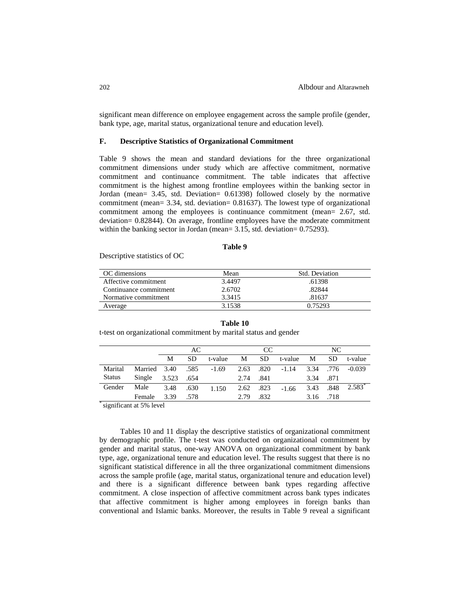significant mean difference on employee engagement across the sample profile (gender, bank type, age, marital status, organizational tenure and education level).

## **F. Descriptive Statistics of Organizational Commitment**

Table 9 shows the mean and standard deviations for the three organizational commitment dimensions under study which are affective commitment, normative commitment and continuance commitment. The table indicates that affective commitment is the highest among frontline employees within the banking sector in Jordan (mean= 3.45, std. Deviation= 0.61398) followed closely by the normative commitment (mean= 3.34, std. deviation= 0.81637). The lowest type of organizational commitment among the employees is continuance commitment (mean= 2.67, std. deviation= 0.82844). On average, frontline employees have the moderate commitment within the banking sector in Jordan (mean= 3.15, std. deviation= 0.75293).

## **Table 9**

Descriptive statistics of OC

| OC dimensions          | Mean   | Std. Deviation |
|------------------------|--------|----------------|
| Affective commitment   | 3.4497 | .61398         |
| Continuance commitment | 2.6702 | .82844         |
| Normative commitment   | 3.3415 | .81637         |
| Average                | 3.1538 | 0.75293        |

**Table 10**

t-test on organizational commitment by marital status and gender

AC CC NC M SD t-value M SD t-value M SD t-value Marital Status Married 3.40 .585 -1.69 2.63 .820 -1.14 3.34 .776 -0.039 Single 3.523 .654 2.74 .841 3.34 .871 Gender Male 3.48 .630 1.150 2.62 .823 -1.66 3.43 .848 2.583<sup>\*</sup> Female 3.39 .578 2.79 .832 3.16 .718

\* significant at 5% level

Tables 10 and 11 display the descriptive statistics of organizational commitment by demographic profile. The t-test was conducted on organizational commitment by gender and marital status, one-way ANOVA on organizational commitment by bank type, age, organizational tenure and education level. The results suggest that there is no significant statistical difference in all the three organizational commitment dimensions across the sample profile (age, marital status, organizational tenure and education level) and there is a significant difference between bank types regarding affective commitment. A close inspection of affective commitment across bank types indicates that affective commitment is higher among employees in foreign banks than conventional and Islamic banks. Moreover, the results in Table 9 reveal a significant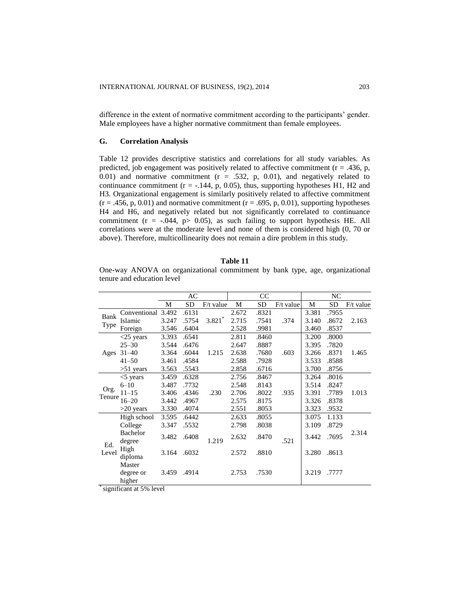difference in the extent of normative commitment according to the participants' gender. Male employees have a higher normative commitment than female employees.

## **G. Correlation Analysis**

Table 12 provides descriptive statistics and correlations for all study variables. As predicted, job engagement was positively related to affective commitment  $(r = .436, p, ...)$ 0.01) and normative commitment  $(r = .532, p, 0.01)$ , and negatively related to continuance commitment ( $r = -0.144$ , p, 0.05), thus, supporting hypotheses H1, H2 and H3. Organizational engagement is similarly positively related to affective commitment  $(r = .456, p, 0.01)$  and normative commitment  $(r = .695, p, 0.01)$ , supporting hypotheses H4 and H6, and negatively related but not significantly correlated to continuance commitment ( $r = -.044$ ,  $p > 0.05$ ), as such failing to support hypothesis HE. All correlations were at the moderate level and none of them is considered high (0, 70 or above). Therefore, multicollinearity does not remain a dire problem in this study.

| Table |  |
|-------|--|
|       |  |

One-way ANOVA on organizational commitment by bank type, age, organizational tenure and education level

|              |                               |       | AC    |                      | <sub>CC</sub> |       |             | NC    |       |             |
|--------------|-------------------------------|-------|-------|----------------------|---------------|-------|-------------|-------|-------|-------------|
|              |                               | М     | SD    | $F/t$ value          | М             | SD    | $F/t$ value | М     | SD    | $F/t$ value |
| Bank         | Conventional 3.492            |       | .6131 |                      | 2.672         | .8321 |             | 3.381 | .7955 |             |
| Type         | Islamic                       | 3.247 | .5754 | $3.821$ <sup>*</sup> | 2.715         | .7541 | .374        | 3.140 | .8672 | 2.163       |
|              | Foreign                       | 3.546 | .6404 |                      | 2.528         | .9981 |             | 3.460 | .8537 |             |
|              | $<$ 25 years                  | 3.393 | .6541 |                      | 2.811         | .8460 |             | 3.200 | .8000 |             |
|              | $25 - 30$                     | 3.544 | .6476 |                      | 2.647         | .8887 |             | 3.395 | .7820 |             |
| Ages         | $31 - 40$                     | 3.364 | .6044 | 1.215                | 2.638         | .7680 | .603        | 3.266 | .8371 | 1.465       |
|              | $41 - 50$                     | 3.461 | .4584 |                      | 2.588         | .7928 |             | 3.533 | .8588 |             |
|              | $>51$ years                   | 3.563 | .5543 |                      | 2.858         | .6716 |             | 3.700 | .8756 |             |
|              | $<$ 5 years                   | 3.459 | .6328 |                      | 2.756         | .8467 |             | 3.264 | .8016 |             |
|              | $6 - 10$                      | 3.487 | .7732 |                      | 2.548         | .8143 |             | 3.514 | .8247 |             |
| Org.         | $11 - 15$                     | 3.406 | .4346 | .230                 | 2.706         | .8022 | .935        | 3.391 | .7789 | 1.013       |
| Tenure       | $16 - 20$                     | 3.442 | .4967 |                      | 2.575         | .8175 |             | 3.326 | .8378 |             |
|              | $>20$ years                   | 3.330 | .4074 |                      | 2.551         | .8053 |             | 3.323 | .9532 |             |
|              | High school                   | 3.595 | .6442 |                      | 2.633         | .8055 |             | 3.075 | 1.133 |             |
|              | College                       | 3.347 | .5532 |                      | 2.798         | .8038 |             | 3.109 | .8729 |             |
| Ed.<br>Level | Bachelor<br>degree            | 3.482 | .6408 | 1.219                | 2.632         | .8470 | .521        | 3.442 | .7695 | 2.314       |
|              | High<br>diploma               | 3.164 | .6032 |                      | 2.572         | .8810 |             | 3.280 | .8613 |             |
|              | Master<br>degree or<br>higher | 3.459 | .4914 |                      | 2.753         | .7530 |             | 3.219 | .7777 |             |

\* significant at 5% level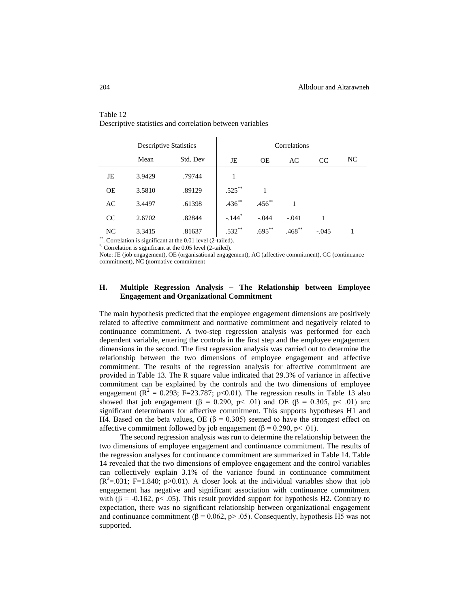|           | <b>Descriptive Statistics</b> |                                                                          | Correlations         |             |           |         |    |  |  |
|-----------|-------------------------------|--------------------------------------------------------------------------|----------------------|-------------|-----------|---------|----|--|--|
|           | Mean                          | Std. Dev                                                                 | JE                   | <b>OE</b>   | AC        | CC      | NC |  |  |
| JE        | 3.9429                        | .79744                                                                   |                      |             |           |         |    |  |  |
| <b>OE</b> | 3.5810                        | .89129                                                                   | $.525***$            |             |           |         |    |  |  |
| AC        | 3.4497                        | .61398                                                                   | $.436***$            | $.456^{**}$ |           |         |    |  |  |
| CC        | 2.6702                        | .82844                                                                   | $-.144$ <sup>*</sup> | $-.044$     | $-.041$   |         |    |  |  |
| NC.       | 3.3415                        | .81637<br>$^{18}$ Court continue is similar to the 0.01 level (2 to 1-1) | $.532**$             | $.695***$   | $.468***$ | $-.045$ |    |  |  |

## Table 12 Descriptive statistics and correlation between variables

. Correlation is significant at the  $0.01$  level (2-tailed).

\*. Correlation is significant at the 0.05 level (2-tailed).

Note: JE (job engagement), OE (organisational engagement), AC (affective commitment), CC (continuance commitment), NC (normative commitment

## **H. Multiple Regression Analysis − The Relationship between Employee Engagement and Organizational Commitment**

The main hypothesis predicted that the employee engagement dimensions are positively related to affective commitment and normative commitment and negatively related to continuance commitment. A two-step regression analysis was performed for each dependent variable, entering the controls in the first step and the employee engagement dimensions in the second. The first regression analysis was carried out to determine the relationship between the two dimensions of employee engagement and affective commitment. The results of the regression analysis for affective commitment are provided in Table 13. The R square value indicated that 29.3% of variance in affective commitment can be explained by the controls and the two dimensions of employee engagement ( $\mathbb{R}^2 = 0.293$ ; F=23.787; p<0.01). The regression results in Table 13 also showed that job engagement ( $\beta = 0.290$ , p< .01) and OE ( $\beta = 0.305$ , p< .01) are significant determinants for affective commitment. This supports hypotheses H1 and H4. Based on the beta values, OE (β = 0.305) seemed to have the strongest effect on affective commitment followed by job engagement (β = 0.290, p < .01).

The second regression analysis was run to determine the relationship between the two dimensions of employee engagement and continuance commitment. The results of the regression analyses for continuance commitment are summarized in Table 14. Table 14 revealed that the two dimensions of employee engagement and the control variables can collectively explain 3.1% of the variance found in continuance commitment  $(R^2 = 0.031; F = 1.840; p > 0.01)$ . A closer look at the individual variables show that job engagement has negative and significant association with continuance commitment with ( $\beta$  = -0.162, p< .05). This result provided support for hypothesis H2. Contrary to expectation, there was no significant relationship between organizational engagement and continuance commitment ( $\beta$  = 0.062, p> .05). Consequently, hypothesis H5 was not supported.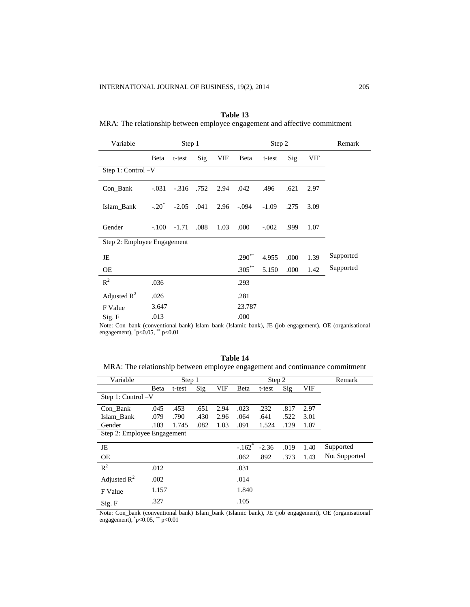i. l,

j.

 $\overline{\mathcal{L}}$ 

i.

| Variable                    |          | Step 1  |      |      |           | Step 2  | Remark |      |           |
|-----------------------------|----------|---------|------|------|-----------|---------|--------|------|-----------|
|                             | Beta     | t-test  | Sig  | VIF  | Beta      | t-test  | Sig    | VIF  |           |
| Step 1: Control -V          |          |         |      |      |           |         |        |      |           |
| Con_Bank                    | $-.031$  | $-.316$ | .752 | 2.94 | .042      | .496    | .621   | 2.97 |           |
| Islam Bank                  | $-.20^*$ | $-2.05$ | .041 | 2.96 | $-.094$   | $-1.09$ | .275   | 3.09 |           |
| Gender                      | $-.100$  | $-1.71$ | .088 | 1.03 | .000      | $-.002$ | .999   | 1.07 |           |
| Step 2: Employee Engagement |          |         |      |      |           |         |        |      |           |
| JE                          |          |         |      |      | $.290***$ | 4.955   | .000   | 1.39 | Supported |
| OE                          |          |         |      |      | $.305***$ | 5.150   | .000   | 1.42 | Supported |
| $R^2$                       | .036     |         |      |      | .293      |         |        |      |           |
| Adjusted $R^2$              | .026     |         |      |      | .281      |         |        |      |           |
| F Value                     | 3.647    |         |      |      | 23.787    |         |        |      |           |
| Sig. F                      | .013     |         |      |      | .000      |         |        |      |           |

**Table 13** MRA: The relationship between employee engagement and affective commitment

Note: Con\_bank (conventional bank) Islam\_bank (Islamic bank), JE (job engagement), OE (organisational engagement), \* p<0.05, \*\* p<0.01

**Table 14** MRA: The relationship between employee engagement and continuance commitment

| Variable                    |       | Step 1 |      |      |                      | Step 2  | Remark |      |               |
|-----------------------------|-------|--------|------|------|----------------------|---------|--------|------|---------------|
|                             | Beta  | t-test | Sig  | VIF  | Beta                 | t-test  | Sig    | VIF  |               |
| Step 1: Control -V          |       |        |      |      |                      |         |        |      |               |
| Con Bank                    | .045  | .453   | .651 | 2.94 | .023                 | .232    | .817   | 2.97 |               |
| Islam Bank                  | .079  | .790   | .430 | 2.96 | .064                 | .641    | .522   | 3.01 |               |
| Gender                      | .103  | 1.745  | .082 | 1.03 | .091                 | 1.524   | .129   | 1.07 |               |
| Step 2: Employee Engagement |       |        |      |      |                      |         |        |      |               |
| JE                          |       |        |      |      | $-.162$ <sup>*</sup> | $-2.36$ | .019   | 1.40 | Supported     |
| <b>OE</b>                   |       |        |      |      | .062                 | .892    | .373   | 1.43 | Not Supported |
| $R^2$                       | .012  |        |      |      | .031                 |         |        |      |               |
| Adjusted $R^2$              | .002  |        |      |      | .014                 |         |        |      |               |
| F Value                     | 1.157 |        |      |      | 1.840                |         |        |      |               |
| Sig. F                      | .327  |        |      |      | .105                 |         |        |      |               |

Note: Con\_bank (conventional bank) Islam\_bank (Islamic bank), JE (job engagement), OE (organisational engagement), \* p<0.05, \*\* p<0.01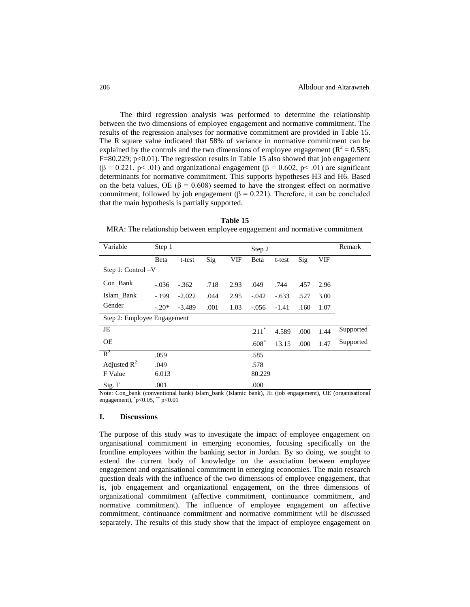The third regression analysis was performed to determine the relationship between the two dimensions of employee engagement and normative commitment. The results of the regression analyses for normative commitment are provided in Table 15. The R square value indicated that 58% of variance in normative commitment can be explained by the controls and the two dimensions of employee engagement ( $\mathbb{R}^2 = 0.585$ ;  $F=80.229$ ;  $p<0.01$ ). The regression results in Table 15 also showed that job engagement  $(β = 0.221, p < .01)$  and organizational engagement  $(β = 0.602, p < .01)$  are significant determinants for normative commitment. This supports hypotheses H3 and H6. Based on the beta values, OE ( $\beta$  = 0.608) seemed to have the strongest effect on normative commitment, followed by job engagement ( $\beta$  = 0.221). Therefore, it can be concluded that the main hypothesis is partially supported.

**Table 15** MRA: The relationship between employee engagement and normative commitment

| Variable                    | Step 1  |                                                   |      |                      | Step 2  |         |      |                      | Remark    |
|-----------------------------|---------|---------------------------------------------------|------|----------------------|---------|---------|------|----------------------|-----------|
|                             | Beta    | t-test                                            | Sig  | VIF                  | Beta    | t-test  | Sig  | <b>VIF</b>           |           |
| Step 1: Control -V          |         |                                                   |      |                      |         |         |      |                      |           |
| Con_Bank                    | $-.036$ | $-.362$                                           | .718 | 2.93                 | .049    | .744    | .457 | 2.96                 |           |
| Islam Bank                  | $-.199$ | $-2.022$                                          | .044 | 2.95                 | $-.042$ | $-.633$ | .527 | 3.00                 |           |
| Gender                      | $-.20*$ | $-3.489$                                          | .001 | 1.03                 | $-.056$ | $-1.41$ | .160 | 1.07                 |           |
| Step 2: Employee Engagement |         |                                                   |      |                      |         |         |      |                      |           |
| JE                          |         |                                                   |      |                      | $.211*$ | 4.589   | .000 | 1.44                 | Supported |
| <b>OE</b>                   |         |                                                   |      |                      | $.608*$ | 13.15   | .000 | 1.47                 | Supported |
| $R^2$                       | .059    |                                                   |      |                      | .585    |         |      |                      |           |
| Adjusted $R^2$              | .049    |                                                   |      |                      | .578    |         |      |                      |           |
| F Value                     | 6.013   |                                                   |      |                      | 80.229  |         |      |                      |           |
| Sig. F                      | .001    | $\bullet$ $\bullet$ $\bullet$ $\bullet$<br>$\sim$ |      | $\sim$ $\sim$ $\sim$ | .000    |         |      | $\sim$ $\sim$ $\sim$ |           |

Note: Con\_bank (conventional bank) Islam\_bank (Islamic bank), JE (job engagement), OE (organisational engagement), \* p<0.05, \*\* p<0.01

#### **I. Discussions**

The purpose of this study was to investigate the impact of employee engagement on organisational commitment in emerging economies, focusing specifically on the frontline employees within the banking sector in Jordan. By so doing, we sought to extend the current body of knowledge on the association between employee engagement and organisational commitment in emerging economies. The main research question deals with the influence of the two dimensions of employee engagement, that is, job engagement and organizational engagement, on the three dimensions of organizational commitment (affective commitment, continuance commitment, and normative commitment). The influence of employee engagement on affective commitment, continuance commitment and normative commitment will be discussed separately. The results of this study show that the impact of employee engagement on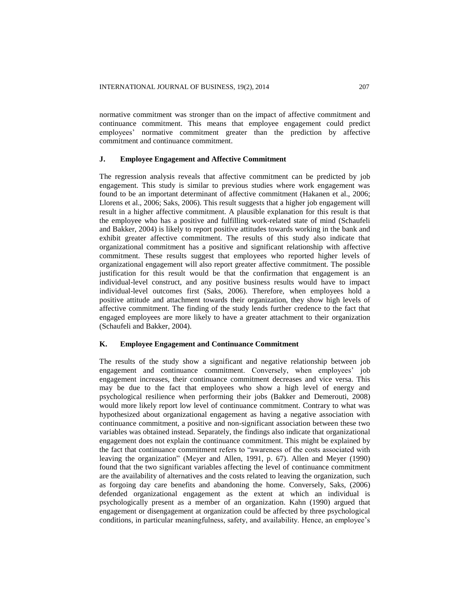normative commitment was stronger than on the impact of affective commitment and continuance commitment. This means that employee engagement could predict employees' normative commitment greater than the prediction by affective commitment and continuance commitment.

## **J. Employee Engagement and Affective Commitment**

The regression analysis reveals that affective commitment can be predicted by job engagement. This study is similar to previous studies where work engagement was found to be an important determinant of affective commitment (Hakanen et al., 2006; Llorens et al., 2006; Saks, 2006). This result suggests that a higher job engagement will result in a higher affective commitment. A plausible explanation for this result is that the employee who has a positive and fulfilling work-related state of mind (Schaufeli and Bakker, 2004) is likely to report positive attitudes towards working in the bank and exhibit greater affective commitment. The results of this study also indicate that organizational commitment has a positive and significant relationship with affective commitment. These results suggest that employees who reported higher levels of organizational engagement will also report greater affective commitment. The possible justification for this result would be that the confirmation that engagement is an individual-level construct, and any positive business results would have to impact individual-level outcomes first (Saks, 2006). Therefore, when employees hold a positive attitude and attachment towards their organization, they show high levels of affective commitment. The finding of the study lends further credence to the fact that engaged employees are more likely to have a greater attachment to their organization (Schaufeli and Bakker, 2004).

## **K. Employee Engagement and Continuance Commitment**

The results of the study show a significant and negative relationship between job engagement and continuance commitment. Conversely, when employees' job engagement increases, their continuance commitment decreases and vice versa. This may be due to the fact that employees who show a high level of energy and psychological resilience when performing their jobs (Bakker and Demerouti, 2008) would more likely report low level of continuance commitment. Contrary to what was hypothesized about organizational engagement as having a negative association with continuance commitment, a positive and non-significant association between these two variables was obtained instead. Separately, the findings also indicate that organizational engagement does not explain the continuance commitment. This might be explained by the fact that continuance commitment refers to "awareness of the costs associated with leaving the organization" (Meyer and Allen, 1991, p. 67). Allen and Meyer (1990) found that the two significant variables affecting the level of continuance commitment are the availability of alternatives and the costs related to leaving the organization, such as forgoing day care benefits and abandoning the home. Conversely, Saks, (2006) defended organizational engagement as the extent at which an individual is psychologically present as a member of an organization. Kahn (1990) argued that engagement or disengagement at organization could be affected by three psychological conditions, in particular meaningfulness, safety, and availability. Hence, an employee's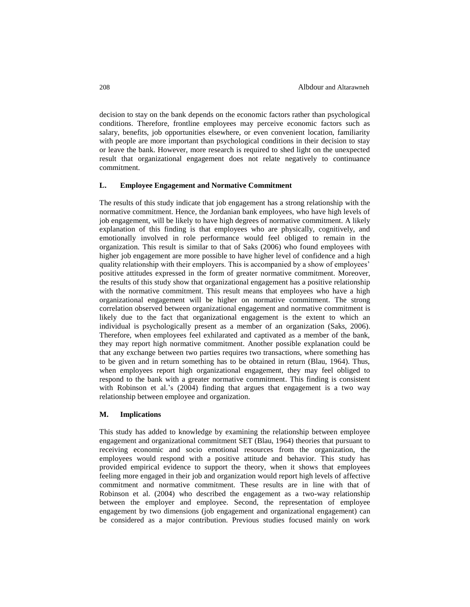decision to stay on the bank depends on the economic factors rather than psychological conditions. Therefore, frontline employees may perceive economic factors such as salary, benefits, job opportunities elsewhere, or even convenient location, familiarity with people are more important than psychological conditions in their decision to stay or leave the bank. However, more research is required to shed light on the unexpected result that organizational engagement does not relate negatively to continuance commitment.

## **L. Employee Engagement and Normative Commitment**

The results of this study indicate that job engagement has a strong relationship with the normative commitment. Hence, the Jordanian bank employees, who have high levels of job engagement, will be likely to have high degrees of normative commitment. A likely explanation of this finding is that employees who are physically, cognitively, and emotionally involved in role performance would feel obliged to remain in the organization. This result is similar to that of Saks (2006) who found employees with higher job engagement are more possible to have higher level of confidence and a high quality relationship with their employers. This is accompanied by a show of employees' positive attitudes expressed in the form of greater normative commitment. Moreover, the results of this study show that organizational engagement has a positive relationship with the normative commitment. This result means that employees who have a high organizational engagement will be higher on normative commitment. The strong correlation observed between organizational engagement and normative commitment is likely due to the fact that organizational engagement is the extent to which an individual is psychologically present as a member of an organization (Saks, 2006). Therefore, when employees feel exhilarated and captivated as a member of the bank, they may report high normative commitment. Another possible explanation could be that any exchange between two parties requires two transactions, where something has to be given and in return something has to be obtained in return (Blau, 1964). Thus, when employees report high organizational engagement, they may feel obliged to respond to the bank with a greater normative commitment. This finding is consistent with Robinson et al.'s (2004) finding that argues that engagement is a two way relationship between employee and organization.

### **M. Implications**

This study has added to knowledge by examining the relationship between employee engagement and organizational commitment SET (Blau, 1964) theories that pursuant to receiving economic and socio emotional resources from the organization, the employees would respond with a positive attitude and behavior. This study has provided empirical evidence to support the theory, when it shows that employees feeling more engaged in their job and organization would report high levels of affective commitment and normative commitment. These results are in line with that of Robinson et al. (2004) who described the engagement as a two-way relationship between the employer and employee. Second, the representation of employee engagement by two dimensions (job engagement and organizational engagement) can be considered as a major contribution. Previous studies focused mainly on work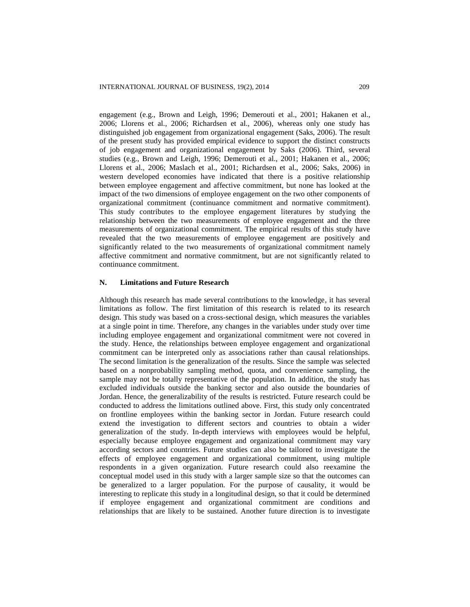engagement (e.g., Brown and Leigh, 1996; Demerouti et al., 2001; Hakanen et al., 2006; Llorens et al., 2006; Richardsen et al., 2006), whereas only one study has distinguished job engagement from organizational engagement (Saks, 2006). The result of the present study has provided empirical evidence to support the distinct constructs of job engagement and organizational engagement by Saks (2006). Third, several studies (e.g., Brown and Leigh, 1996; Demerouti et al., 2001; Hakanen et al., 2006; Llorens et al., 2006; Maslach et al., 2001; Richardsen et al., 2006; Saks, 2006) in western developed economies have indicated that there is a positive relationship between employee engagement and affective commitment, but none has looked at the impact of the two dimensions of employee engagement on the two other components of organizational commitment (continuance commitment and normative commitment). This study contributes to the employee engagement literatures by studying the relationship between the two measurements of employee engagement and the three measurements of organizational commitment. The empirical results of this study have revealed that the two measurements of employee engagement are positively and significantly related to the two measurements of organizational commitment namely affective commitment and normative commitment, but are not significantly related to continuance commitment.

## **N. Limitations and Future Research**

Although this research has made several contributions to the knowledge, it has several limitations as follow. The first limitation of this research is related to its research design. This study was based on a cross-sectional design, which measures the variables at a single point in time. Therefore, any changes in the variables under study over time including employee engagement and organizational commitment were not covered in the study. Hence, the relationships between employee engagement and organizational commitment can be interpreted only as associations rather than causal relationships. The second limitation is the generalization of the results. Since the sample was selected based on a nonprobability sampling method, quota, and convenience sampling, the sample may not be totally representative of the population. In addition, the study has excluded individuals outside the banking sector and also outside the boundaries of Jordan. Hence, the generalizability of the results is restricted. Future research could be conducted to address the limitations outlined above. First, this study only concentrated on frontline employees within the banking sector in Jordan. Future research could extend the investigation to different sectors and countries to obtain a wider generalization of the study. In-depth interviews with employees would be helpful, especially because employee engagement and organizational commitment may vary according sectors and countries. Future studies can also be tailored to investigate the effects of employee engagement and organizational commitment, using multiple respondents in a given organization. Future research could also reexamine the conceptual model used in this study with a larger sample size so that the outcomes can be generalized to a larger population. For the purpose of causality, it would be interesting to replicate this study in a longitudinal design, so that it could be determined if employee engagement and organizational commitment are conditions and relationships that are likely to be sustained. Another future direction is to investigate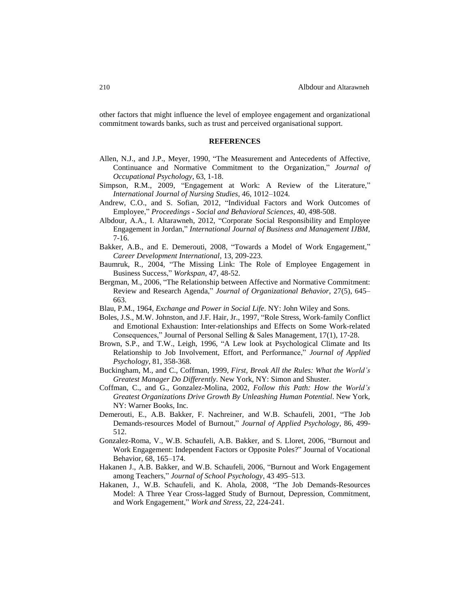other factors that might influence the level of employee engagement and organizational commitment towards banks, such as trust and perceived organisational support.

#### **REFERENCES**

- Allen, N.J., and J.P., Meyer, 1990, "The Measurement and Antecedents of Affective, Continuance and Normative Commitment to the Organization," *Journal of Occupational Psychology*, 63, 1-18.
- Simpson, R.M., 2009, "Engagement at Work: A Review of the Literature," *International Journal of Nursing Studies*, 46, 1012–1024.
- Andrew, C.O., and S. Sofian, 2012, "Individual Factors and Work Outcomes of Employee," *Proceedings - Social and Behavioral Sciences*, 40, 498-508.
- Albdour, A.A., I. Altarawneh, 2012, "Corporate Social Responsibility and Employee Engagement in Jordan," *International Journal of Business and Management IJBM,* 7-16.
- Bakker, A.B., and E. Demerouti, 2008, "Towards a Model of Work Engagement," *Career Development International*, 13, 209-223.
- Baumruk, R., 2004, "The Missing Link: The Role of Employee Engagement in Business Success," *Workspan*, 47, 48-52.
- Bergman, M., 2006, "The Relationship between Affective and Normative Commitment: Review and Research Agenda," *Journal of Organizational Behavior*, 27(5), 645– 663.
- Blau, P.M., 1964, *Exchange and Power in Social Life*. NY: John Wiley and Sons.
- Boles, J.S., M.W. Johnston, and J.F. Hair, Jr., 1997, "Role Stress, Work-family Conflict and Emotional Exhaustion: Inter-relationships and Effects on Some Work-related Consequences," Journal of Personal Selling & Sales Management, 17(1), 17-28.
- Brown, S.P., and T.W., Leigh, 1996, "A Lew look at Psychological Climate and Its Relationship to Job Involvement, Effort, and Performance," *Journal of Applied Psychology*, 81, 358-368.
- Buckingham, M., and C., Coffman, 1999, *First, Break All the Rules: What the World's Greatest Manager Do Differently*. New York, NY: Simon and Shuster.
- Coffman, C., and G., Gonzalez-Molina, 2002, *Follow this Path: How the World's Greatest Organizations Drive Growth By Unleashing Human Potential*. New York, NY: Warner Books, Inc.
- Demerouti, E., A.B. Bakker, F. Nachreiner, and W.B. Schaufeli, 2001, "The Job Demands-resources Model of Burnout," *Journal of Applied Psychology*, 86, 499- 512.
- Gonzalez-Roma, V., W.B. Schaufeli, A.B. Bakker, and S. Lloret, 2006, "Burnout and Work Engagement: Independent Factors or Opposite Poles?" Journal of Vocational Behavior, 68, 165–174.
- Hakanen J., A.B. Bakker, and W.B. Schaufeli, 2006, "Burnout and Work Engagement among Teachers," *Journal of School Psychology*, 43 495–513.
- Hakanen, J., W.B. Schaufeli, and K. Ahola, 2008, "The Job Demands-Resources Model: A Three Year Cross-lagged Study of Burnout, Depression, Commitment, and Work Engagement," *Work and Stress*, 22, 224-241.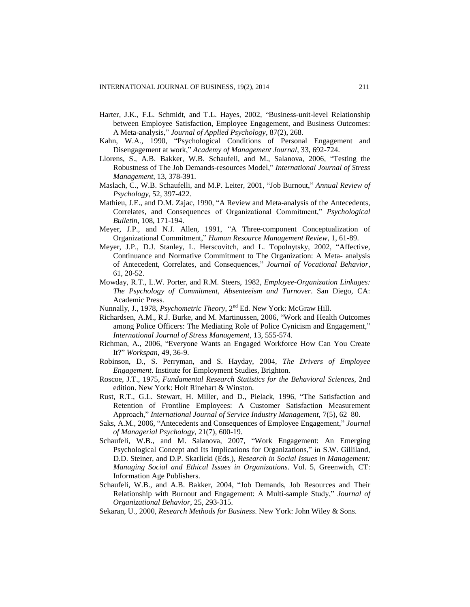- Harter, J.K., F.L. Schmidt, and T.L. Hayes, 2002, "Business-unit-level Relationship between Employee Satisfaction, Employee Engagement, and Business Outcomes: A Meta-analysis," *Journal of Applied Psychology*, 87(2), 268.
- Kahn, W.A., 1990, "Psychological Conditions of Personal Engagement and Disengagement at work," *Academy of Management Journal*, 33, 692-724.
- Llorens, S., A.B. Bakker, W.B. Schaufeli, and M., Salanova, 2006, "Testing the Robustness of The Job Demands-resources Model," *International Journal of Stress Management*, 13, 378-391.
- Maslach, C., W.B. Schaufelli, and M.P. Leiter, 2001, "Job Burnout," *Annual Review of Psychology*, 52, 397-422.
- Mathieu, J.E., and D.M. Zajac, 1990, "A Review and Meta-analysis of the Antecedents, Correlates, and Consequences of Organizational Commitment," *Psychological Bulletin*, 108, 171-194.
- Meyer, J.P., and N.J. Allen, 1991, "A Three-component Conceptualization of Organizational Commitment," *Human Resource Management Review*, 1, 61-89.
- Meyer, J.P., D.J. Stanley, L. Herscovitch, and L. Topolnytsky, 2002, "Affective, Continuance and Normative Commitment to The Organization: A Meta- analysis of Antecedent, Correlates, and Consequences," *Journal of Vocational Behavior*, 61, 20-52.
- Mowday, R.T., L.W. Porter, and R.M. Steers, 1982, *Employee-Organization Linkages: The Psychology of Commitment, Absenteeism and Turnover*. San Diego, CA: Academic Press.
- Nunnally, J., 1978, *Psychometric Theory*, 2<sup>nd</sup> Ed. New York: McGraw Hill.
- Richardsen, A.M., R.J. Burke, and M. Martinussen, 2006, "Work and Health Outcomes among Police Officers: The Mediating Role of Police Cynicism and Engagement," *International Journal of Stress Management*, 13, 555-574.
- Richman, A., 2006, "Everyone Wants an Engaged Workforce How Can You Create It?" *Workspan*, 49, 36-9.
- Robinson, D., S. Perryman, and S. Hayday, 2004, *The Drivers of Employee Engagement*. Institute for Employment Studies, Brighton.
- Roscoe, J.T., 1975, *Fundamental Research Statistics for the Behavioral Sciences*, 2nd edition. New York: Holt Rinehart & Winston.
- Rust, R.T., G.L. Stewart, H. Miller, and D., Pielack, 1996, "The Satisfaction and Retention of Frontline Employees: A Customer Satisfaction Measurement Approach," *International Journal of Service Industry Management,* 7(5), 62–80.
- Saks, A.M., 2006, "Antecedents and Consequences of Employee Engagement," *Journal of Managerial Psychology*, 21(7), 600-19.
- Schaufeli, W.B., and M. Salanova, 2007, "Work Engagement: An Emerging Psychological Concept and Its Implications for Organizations," in S.W. Gilliland, D.D. Steiner, and D.P. Skarlicki (Eds.), *Research in Social Issues in Management: Managing Social and Ethical Issues in Organizations*. Vol. 5, Greenwich, CT: Information Age Publishers.
- Schaufeli, W.B., and A.B. Bakker, 2004, "Job Demands, Job Resources and Their Relationship with Burnout and Engagement: A Multi-sample Study," *Journal of Organizational Behavior*, 25, 293-315.
- Sekaran, U., 2000, *Research Methods for Business*. New York: John Wiley & Sons.